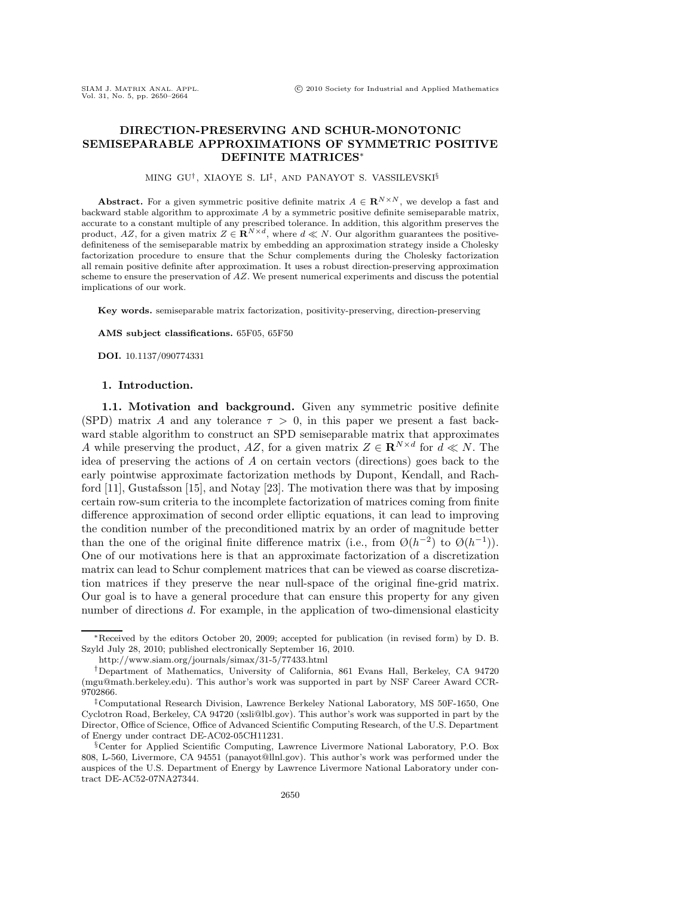# **DIRECTION-PRESERVING AND SCHUR-MONOTONIC SEMISEPARABLE APPROXIMATIONS OF SYMMETRIC POSITIVE DEFINITE MATRICES**∗

### MING GU†, XIAOYE S. LI‡, AND PANAYOT S. VASSILEVSKI§

**Abstract.** For a given symmetric positive definite matrix  $A \in \mathbb{R}^{N \times N}$ , we develop a fast and backward stable algorithm to approximate A by a symmetric positive definite semiseparable matrix, accurate to a constant multiple of any prescribed tolerance. In addition, this algorithm preserves the product, AZ, for a given matrix  $Z \in \mathbf{R}^{N \times d}$ , where  $d \ll N$ . Our algorithm guarantees the positivedefiniteness of the semiseparable matrix by embedding an approximation strategy inside a Cholesky factorization procedure to ensure that the Schur complements during the Cholesky factorization all remain positive definite after approximation. It uses a robust direction-preserving approximation scheme to ensure the preservation of  $AZ$ . We present numerical experiments and discuss the potential implications of our work.

**Key words.** semiseparable matrix factorization, positivity-preserving, direction-preserving

#### **AMS subject classifications.** 65F05, 65F50

**DOI.** 10.1137/090774331

## **1. Introduction.**

**1.1. Motivation and background.** Given any symmetric positive definite (SPD) matrix A and any tolerance  $\tau > 0$ , in this paper we present a fast backward stable algorithm to construct an SPD semiseparable matrix that approximates A while preserving the product, AZ, for a given matrix  $Z \in \mathbb{R}^{N \times d}$  for  $d \ll N$ . The idea of preserving the actions of A on certain vectors (directions) goes back to the early pointwise approximate factorization methods by Dupont, Kendall, and Rachford [11], Gustafsson [15], and Notay [23]. The motivation there was that by imposing certain row-sum criteria to the incomplete factorization of matrices coming from finite difference approximation of second order elliptic equations, it can lead to improving the condition number of the preconditioned matrix by an order of magnitude better than the one of the original finite difference matrix (i.e., from  $\mathcal{O}(h^{-2})$ ) to  $\mathcal{O}(h^{-1})$ ). One of our motivations here is that an approximate factorization of a discretization matrix can lead to Schur complement matrices that can be viewed as coarse discretization matrices if they preserve the near null-space of the original fine-grid matrix. Our goal is to have a general procedure that can ensure this property for any given number of directions d. For example, in the application of two-dimensional elasticity

<sup>∗</sup>Received by the editors October 20, 2009; accepted for publication (in revised form) by D. B. Szyld July 28, 2010; published electronically September 16, 2010.

http://www.siam.org/journals/simax/31-5/77433.html

<sup>†</sup>Department of Mathematics, University of California, 861 Evans Hall, Berkeley, CA 94720 (mgu@math.berkeley.edu). This author's work was supported in part by NSF Career Award CCR-9702866.

<sup>‡</sup>Computational Research Division, Lawrence Berkeley National Laboratory, MS 50F-1650, One Cyclotron Road, Berkeley, CA 94720 (xsli@lbl.gov). This author's work was supported in part by the Director, Office of Science, Office of Advanced Scientific Computing Research, of the U.S. Department of Energy under contract DE-AC02-05CH11231.

<sup>§</sup>Center for Applied Scientific Computing, Lawrence Livermore National Laboratory, P.O. Box 808, L-560, Livermore, CA 94551 (panayot@llnl.gov). This author's work was performed under the auspices of the U.S. Department of Energy by Lawrence Livermore National Laboratory under contract DE-AC52-07NA27344.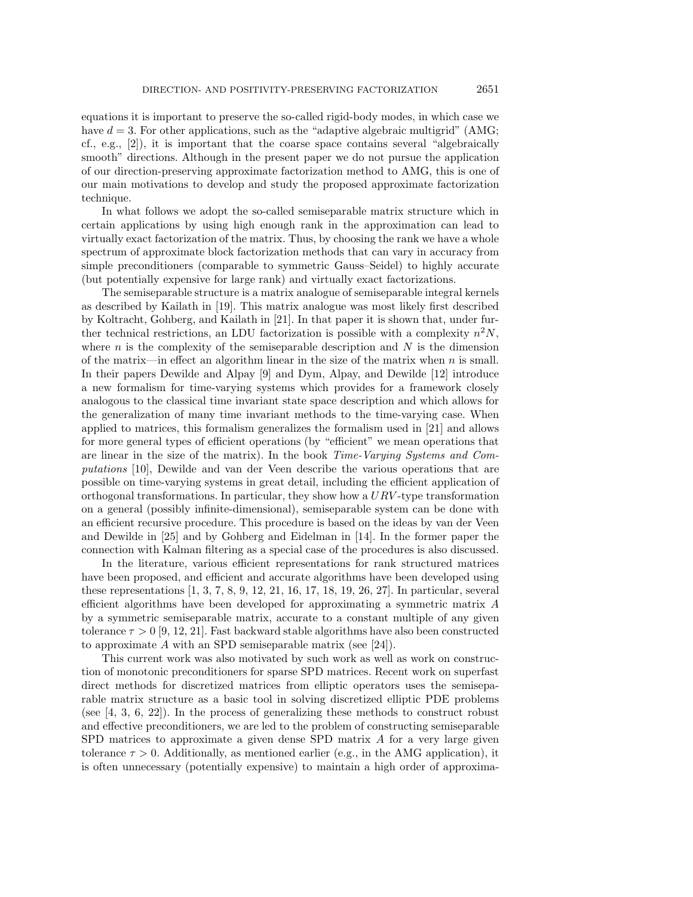equations it is important to preserve the so-called rigid-body modes, in which case we have  $d = 3$ . For other applications, such as the "adaptive algebraic multigrid" (AMG; cf., e.g., [2]), it is important that the coarse space contains several "algebraically smooth" directions. Although in the present paper we do not pursue the application of our direction-preserving approximate factorization method to AMG, this is one of our main motivations to develop and study the proposed approximate factorization technique.

In what follows we adopt the so-called semiseparable matrix structure which in certain applications by using high enough rank in the approximation can lead to virtually exact factorization of the matrix. Thus, by choosing the rank we have a whole spectrum of approximate block factorization methods that can vary in accuracy from simple preconditioners (comparable to symmetric Gauss–Seidel) to highly accurate (but potentially expensive for large rank) and virtually exact factorizations.

The semiseparable structure is a matrix analogue of semiseparable integral kernels as described by Kailath in [19]. This matrix analogue was most likely first described by Koltracht, Gohberg, and Kailath in [21]. In that paper it is shown that, under further technical restrictions, an LDU factorization is possible with a complexity  $n^2N$ , where  $n$  is the complexity of the semiseparable description and  $N$  is the dimension of the matrix—in effect an algorithm linear in the size of the matrix when  $n$  is small. In their papers Dewilde and Alpay [9] and Dym, Alpay, and Dewilde [12] introduce a new formalism for time-varying systems which provides for a framework closely analogous to the classical time invariant state space description and which allows for the generalization of many time invariant methods to the time-varying case. When applied to matrices, this formalism generalizes the formalism used in [21] and allows for more general types of efficient operations (by "efficient" we mean operations that are linear in the size of the matrix). In the book *Time-Varying Systems and Computations* [10], Dewilde and van der Veen describe the various operations that are possible on time-varying systems in great detail, including the efficient application of orthogonal transformations. In particular, they show how a  $URV$ -type transformation on a general (possibly infinite-dimensional), semiseparable system can be done with an efficient recursive procedure. This procedure is based on the ideas by van der Veen and Dewilde in [25] and by Gohberg and Eidelman in [14]. In the former paper the connection with Kalman filtering as a special case of the procedures is also discussed.

In the literature, various efficient representations for rank structured matrices have been proposed, and efficient and accurate algorithms have been developed using these representations [1, 3, 7, 8, 9, 12, 21, 16, 17, 18, 19, 26, 27]. In particular, several efficient algorithms have been developed for approximating a symmetric matrix A by a symmetric semiseparable matrix, accurate to a constant multiple of any given tolerance  $\tau > 0$  [9, 12, 21]. Fast backward stable algorithms have also been constructed to approximate A with an SPD semiseparable matrix (see [24]).

This current work was also motivated by such work as well as work on construction of monotonic preconditioners for sparse SPD matrices. Recent work on superfast direct methods for discretized matrices from elliptic operators uses the semiseparable matrix structure as a basic tool in solving discretized elliptic PDE problems (see [4, 3, 6, 22]). In the process of generalizing these methods to construct robust and effective preconditioners, we are led to the problem of constructing semiseparable SPD matrices to approximate a given dense SPD matrix A for a very large given tolerance  $\tau > 0$ . Additionally, as mentioned earlier (e.g., in the AMG application), it is often unnecessary (potentially expensive) to maintain a high order of approxima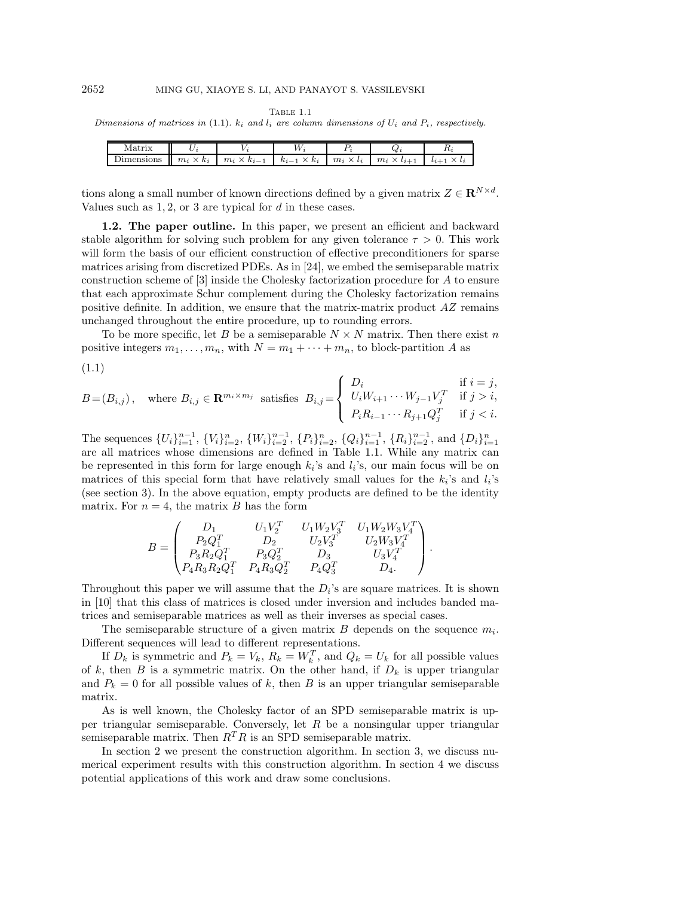TABLE 1.1

Dimensions of matrices in (1.1).  $k_i$  and  $l_i$  are column dimensions of  $U_i$  and  $P_i$ , respectively.

|  | $m_i \times k_i$   $m_i \times k_{i-1}$ | $k_{i-1} \times k_i$ $m_i \times l_i$ | $\cdots$ $m_i$ $\ldots$ |  |
|--|-----------------------------------------|---------------------------------------|-------------------------|--|

tions along a small number of known directions defined by a given matrix  $Z \in \mathbb{R}^{N \times d}$ . Values such as  $1, 2$ , or 3 are typical for  $d$  in these cases.

**1.2. The paper outline.** In this paper, we present an efficient and backward stable algorithm for solving such problem for any given tolerance  $\tau > 0$ . This work will form the basis of our efficient construction of effective preconditioners for sparse matrices arising from discretized PDEs. As in [24], we embed the semiseparable matrix construction scheme of [3] inside the Cholesky factorization procedure for A to ensure that each approximate Schur complement during the Cholesky factorization remains positive definite. In addition, we ensure that the matrix-matrix product  $AZ$  remains unchanged throughout the entire procedure, up to rounding errors.

To be more specific, let B be a semiseparable  $N \times N$  matrix. Then there exist n positive integers  $m_1, \ldots, m_n$ , with  $N = m_1 + \cdots + m_n$ , to block-partition A as

$$
(1.1)
$$

$$
B = (B_{i,j}), \quad \text{where } B_{i,j} \in \mathbf{R}^{m_i \times m_j} \text{ satisfies } B_{i,j} = \begin{cases} D_i & \text{if } i = j, \\ U_i W_{i+1} \cdots W_{j-1} V_j^T & \text{if } j > i, \\ P_i R_{i-1} \cdots R_{j+1} Q_j^T & \text{if } j < i. \end{cases}
$$

The sequences  $\{U_i\}_{i=1}^{n-1}$ ,  $\{V_i\}_{i=2}^{n}$ ,  $\{W_i\}_{i=2}^{n-1}$ ,  $\{P_i\}_{i=2}^{n}$ ,  $\{Q_i\}_{i=1}^{n-1}$ ,  $\{R_i\}_{i=2}^{n-1}$ , and  $\{D_i\}_{i=1}^{n}$ are all matrices whose dimensions are defined in Table 1.1. While any matrix can be represented in this form for large enough  $k_i$ 's and  $l_i$ 's, our main focus will be on matrices of this special form that have relatively small values for the  $k_i$ 's and  $l_i$ 's (see section 3). In the above equation, empty products are defined to be the identity matrix. For  $n = 4$ , the matrix B has the form

$$
B = \begin{pmatrix} D_1 & U_1V_2^T & U_1W_2V_3^T & U_1W_2W_3V_4^T \\ P_2Q_1^T & D_2 & U_2V_3^T & U_2W_3V_4^T \\ P_3R_2Q_1^T & P_3Q_2^T & D_3 & U_3V_4^T \\ P_4R_3R_2Q_1^T & P_4R_3Q_2^T & P_4Q_3^T & D_4. \end{pmatrix}.
$$

Throughout this paper we will assume that the  $D_i$ 's are square matrices. It is shown in [10] that this class of matrices is closed under inversion and includes banded matrices and semiseparable matrices as well as their inverses as special cases.

The semiseparable structure of a given matrix B depends on the sequence  $m_i$ . Different sequences will lead to different representations.

If  $D_k$  is symmetric and  $P_k = V_k$ ,  $R_k = W_k^T$ , and  $Q_k = U_k$  for all possible values of k, then B is a symmetric matrix. On the other hand, if  $D_k$  is upper triangular and  $P_k = 0$  for all possible values of k, then B is an upper triangular semiseparable matrix.

As is well known, the Cholesky factor of an SPD semiseparable matrix is upper triangular semiseparable. Conversely, let  $R$  be a nonsingular upper triangular semiseparable matrix. Then  $R^{T}R$  is an SPD semiseparable matrix.

In section 2 we present the construction algorithm. In section 3, we discuss numerical experiment results with this construction algorithm. In section 4 we discuss potential applications of this work and draw some conclusions.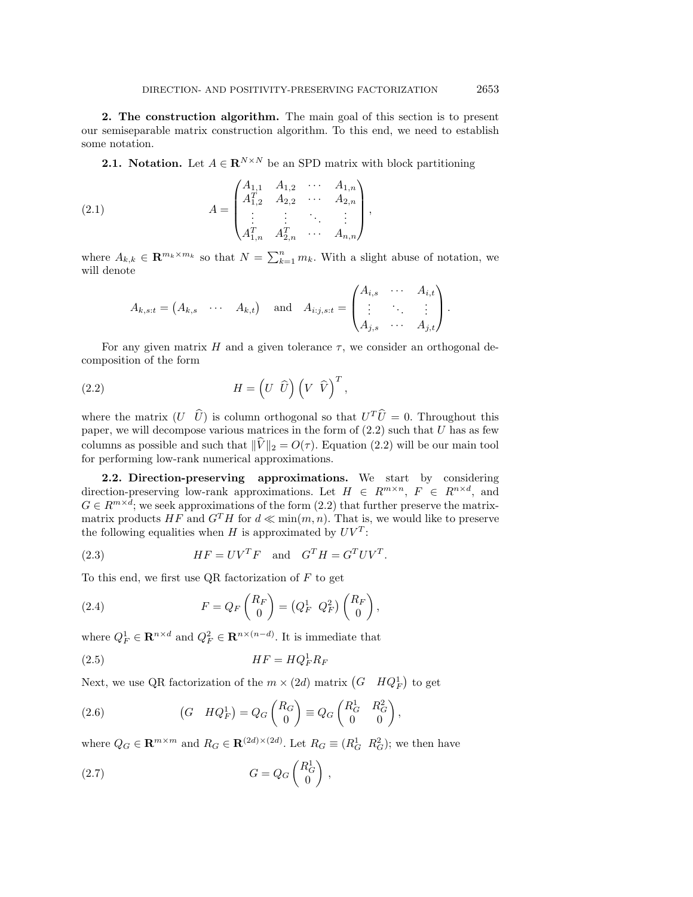**2. The construction algorithm.** The main goal of this section is to present our semiseparable matrix construction algorithm. To this end, we need to establish some notation.

**2.1. Notation.** Let  $A \in \mathbb{R}^{N \times N}$  be an SPD matrix with block partitioning

(2.1) 
$$
A = \begin{pmatrix} A_{1,1} & A_{1,2} & \cdots & A_{1,n} \\ A_{1,2}^T & A_{2,2} & \cdots & A_{2,n} \\ \vdots & \vdots & \ddots & \vdots \\ A_{1,n}^T & A_{2,n}^T & \cdots & A_{n,n} \end{pmatrix},
$$

where  $A_{k,k} \in \mathbf{R}^{m_k \times m_k}$  so that  $N = \sum_{k=1}^n m_k$ . With a slight abuse of notation, we will denote

$$
A_{k,s:t} = \begin{pmatrix} A_{k,s} & \cdots & A_{k,t} \end{pmatrix} \quad \text{and} \quad A_{i:j,s:t} = \begin{pmatrix} A_{i,s} & \cdots & A_{i,t} \\ \vdots & \ddots & \vdots \\ A_{j,s} & \cdots & A_{j,t} \end{pmatrix}.
$$

For any given matrix H and a given tolerance  $\tau$ , we consider an orthogonal decomposition of the form

(2.2) 
$$
H = \left(U \widehat{U}\right) \left(V \widehat{V}\right)^{T},
$$

where the matrix  $(U \ \hat{U})$  is column orthogonal so that  $U^T\hat{U} = 0$ . Throughout this paper, we will decompose various matrices in the form of  $(2.2)$  such that U has as few columns as possible and such that  $\|\tilde{V}\|_2 = O(\tau)$ . Equation (2.2) will be our main tool for performing low-rank numerical approximations.

**2.2. Direction-preserving approximations.** We start by considering direction-preserving low-rank approximations. Let  $H \in R^{m \times n}$ ,  $F \in R^{n \times d}$ , and  $G \in R^{m \times d}$ ; we seek approximations of the form  $(2.2)$  that further preserve the matrixmatrix products HF and  $G<sup>T</sup>H$  for  $d \ll \min(m, n)$ . That is, we would like to preserve the following equalities when H is approximated by  $UV^T$ :

(2.3) 
$$
HF = UV^T F \text{ and } G^T H = G^T U V^T.
$$

To this end, we first use QR factorization of  $F$  to get

(2.4) 
$$
F = Q_F \begin{pmatrix} R_F \\ 0 \end{pmatrix} = \begin{pmatrix} Q_F^1 & Q_F^2 \end{pmatrix} \begin{pmatrix} R_F \\ 0 \end{pmatrix},
$$

where  $Q_F^1 \in \mathbb{R}^{n \times d}$  and  $Q_F^2 \in \mathbb{R}^{n \times (n-d)}$ . It is immediate that

$$
(2.5) \t\t\t HF = HQ_F^1 R_F
$$

Next, we use QR factorization of the  $m \times (2d)$  matrix  $(G \ HQ_F^1)$  to get

(2.6) 
$$
(G \quad HQ_F^1) = Q_G \begin{pmatrix} R_G \\ 0 \end{pmatrix} \equiv Q_G \begin{pmatrix} R_G^1 & R_G^2 \\ 0 & 0 \end{pmatrix},
$$

where  $Q_G \in \mathbf{R}^{m \times m}$  and  $R_G \in \mathbf{R}^{(2d) \times (2d)}$ . Let  $R_G \equiv (R_G^1 \ R_G^2)$ ; we then have

$$
(2.7) \tG = Q_G \begin{pmatrix} R_G^1 \\ 0 \end{pmatrix},
$$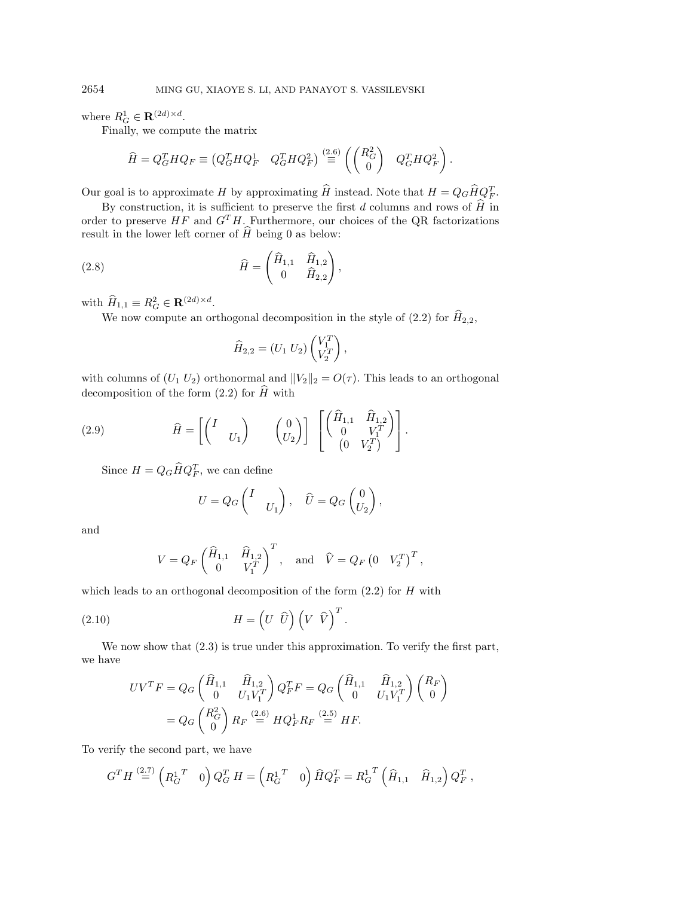where  $R_G^1 \in \mathbf{R}^{(2d) \times d}$ .

Finally, we compute the matrix

$$
\widehat{H} = Q_G^T H Q_F \equiv \begin{pmatrix} Q_G^T H Q_F^1 & Q_G^T H Q_F^2 \end{pmatrix} \stackrel{(2.6)}{=} \begin{pmatrix} \begin{pmatrix} R_G^2 \\ 0 \end{pmatrix} & Q_G^T H Q_F^2 \end{pmatrix}.
$$

Our goal is to approximate H by approximating  $\hat{H}$  instead. Note that  $H = Q_G \hat{H} Q_F^T$ .

By construction, it is sufficient to preserve the first d columns and rows of  $\hat{H}$  in order to preserve  $HF$  and  $G^TH$ . Furthermore, our choices of the QR factorizations result in the lower left corner of  $\widehat{H}$  being 0 as below:

(2.8) 
$$
\widehat{H} = \begin{pmatrix} \widehat{H}_{1,1} & \widehat{H}_{1,2} \\ 0 & \widehat{H}_{2,2} \end{pmatrix},
$$

with  $\widehat{H}_{1,1} \equiv R_G^2 \in \mathbf{R}^{(2d) \times d}$ .

We now compute an orthogonal decomposition in the style of (2.2) for  $\widehat{H}_{2,2}$ ,

$$
\widehat{H}_{2,2} = (U_1 \ U_2) \begin{pmatrix} V_1^T \\ V_2^T \end{pmatrix},
$$

with columns of  $(U_1 U_2)$  orthonormal and  $||V_2||_2 = O(\tau)$ . This leads to an orthogonal decomposition of the form  $(2.2)$  for  $\widehat{H}$  with

(2.9) 
$$
\widehat{H} = \begin{bmatrix} I & 0 \ 0 & 0 \end{bmatrix} \begin{bmatrix} \widehat{H}_{1,1} & \widehat{H}_{1,2} \\ 0 & V_1^T \end{bmatrix}.
$$

Since  $H = Q_G \widehat{H} Q_F^T$ , we can define

$$
U = Q_G \begin{pmatrix} I & \\ & U_1 \end{pmatrix}, \quad \widehat{U} = Q_G \begin{pmatrix} 0 \\ U_2 \end{pmatrix},
$$

and

$$
V = Q_F \begin{pmatrix} \widehat{H}_{1,1} & \widehat{H}_{1,2} \\ 0 & V_1^T \end{pmatrix}^T, \text{ and } \widehat{V} = Q_F \begin{pmatrix} 0 & V_2^T \end{pmatrix}^T,
$$

which leads to an orthogonal decomposition of the form  $(2.2)$  for H with

(2.10) 
$$
H = \left(U \widehat{U}\right) \left(V \widehat{V}\right)^{T}.
$$

We now show that  $(2.3)$  is true under this approximation. To verify the first part, we have

$$
UV^{T}F = Q_{G} \begin{pmatrix} \hat{H}_{1,1} & \hat{H}_{1,2} \\ 0 & U_{1}V_{1}^{T} \end{pmatrix} Q_{F}^{T}F = Q_{G} \begin{pmatrix} \hat{H}_{1,1} & \hat{H}_{1,2} \\ 0 & U_{1}V_{1}^{T} \end{pmatrix} \begin{pmatrix} R_{F} \\ 0 \end{pmatrix}
$$

$$
= Q_{G} \begin{pmatrix} R_{G}^{2} \\ 0 \end{pmatrix} R_{F} \stackrel{(2.6)}{=} H Q_{F}^{1} R_{F} \stackrel{(2.5)}{=} H F.
$$

To verify the second part, we have

$$
G^{T} H \stackrel{(2.7)}{=} \left( R_{G}^{1 T} \quad 0 \right) Q_{G}^{T} H = \left( R_{G}^{1 T} \quad 0 \right) \hat{H} Q_{F}^{T} = R_{G}^{1 T} \left( \hat{H}_{1,1} \quad \hat{H}_{1,2} \right) Q_{F}^{T} ,
$$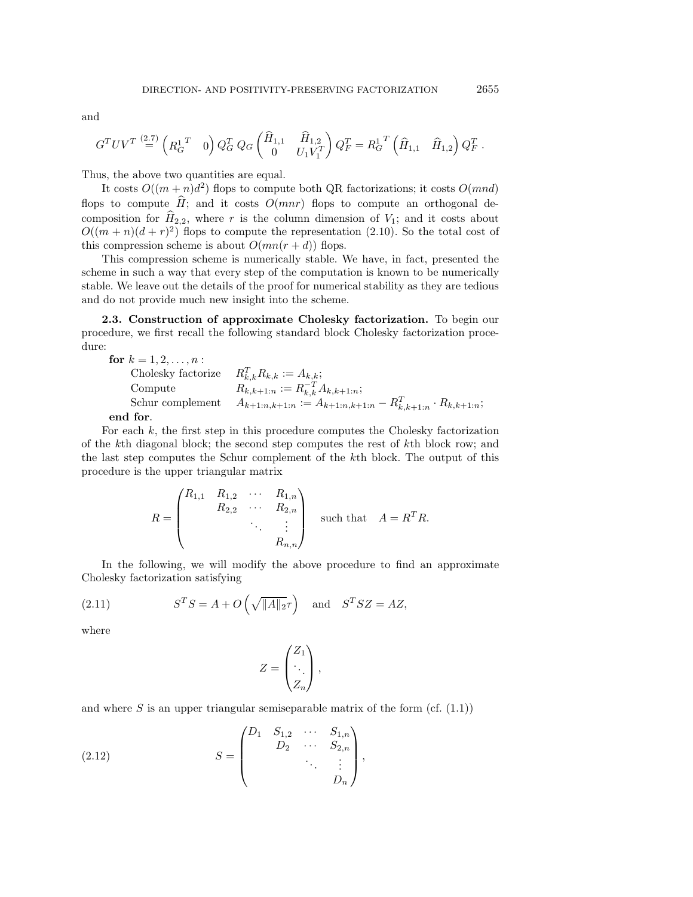and

$$
G^{T}UV^{T} \stackrel{(2.7)}{=} \begin{pmatrix} R_G^{1 T} & 0 \end{pmatrix} Q_G^{T} Q_G \begin{pmatrix} \widehat{H}_{1,1} & \widehat{H}_{1,2} \\ 0 & U_1 V_1^{T} \end{pmatrix} Q_F^{T} = R_G^{1 T} \begin{pmatrix} \widehat{H}_{1,1} & \widehat{H}_{1,2} \end{pmatrix} Q_F^{T}.
$$

Thus, the above two quantities are equal.

It costs  $O((m+n)d^2)$  flops to compute both QR factorizations; it costs  $O(mnd)$ flops to compute  $\hat{H}$ ; and it costs  $O(mnr)$  flops to compute an orthogonal decomposition for  $\widehat{H}_{2,2}$ , where r is the column dimension of  $V_1$ ; and it costs about  $O((m+n)(d+r)^2)$  flops to compute the representation (2.10). So the total cost of this compression scheme is about  $O(mn(r+d))$  flops.

This compression scheme is numerically stable. We have, in fact, presented the scheme in such a way that every step of the computation is known to be numerically stable. We leave out the details of the proof for numerical stability as they are tedious and do not provide much new insight into the scheme.

**2.3. Construction of approximate Cholesky factorization.** To begin our procedure, we first recall the following standard block Cholesky factorization procedure:

**for**  $k = 1, 2, ..., n$  : Cholesky factorize  $R_{k,k}^T R_{k,k} := A_{k,k};$ Compute  $R_{k,k+1:n}^{(n)} := R_{k,k}^{-T} A_{k,k+1:n};$ Schur complement  $A_{k+1:n,k+1:n} := A_{k+1:n,k+1:n} - R_{k,k+1:n}^T \cdot R_{k,k+1:n};$ **end for**.

For each  $k$ , the first step in this procedure computes the Cholesky factorization of the kth diagonal block; the second step computes the rest of kth block row; and the last step computes the Schur complement of the kth block. The output of this procedure is the upper triangular matrix

$$
R = \begin{pmatrix} R_{1,1} & R_{1,2} & \cdots & R_{1,n} \\ & R_{2,2} & \cdots & R_{2,n} \\ & & \ddots & \vdots \\ & & & R_{n,n} \end{pmatrix} \text{ such that } A = R^{T}R.
$$

In the following, we will modify the above procedure to find an approximate Cholesky factorization satisfying

(2.11) 
$$
S^{T}S = A + O\left(\sqrt{\|A\|_2}\tau\right) \text{ and } S^{T}SZ = AZ,
$$

where

$$
Z = \begin{pmatrix} Z_1 \\ \ddots \\ Z_n \end{pmatrix},
$$

and where S is an upper triangular semiseparable matrix of the form (cf.  $(1.1)$ )

(2.12) 
$$
S = \begin{pmatrix} D_1 & S_{1,2} & \cdots & S_{1,n} \\ D_2 & \cdots & S_{2,n} \\ & & \ddots & \vdots \\ & & & D_n \end{pmatrix},
$$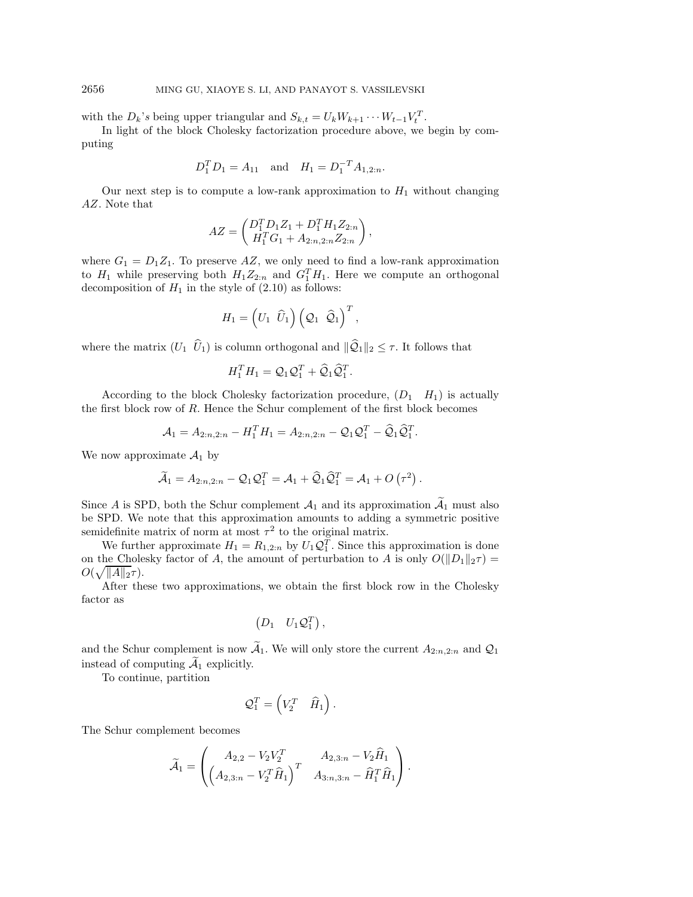with the  $D_k$ 's being upper triangular and  $S_{k,t} = U_k W_{k+1} \cdots W_{t-1} V_t^T$ .

In light of the block Cholesky factorization procedure above, we begin by computing

$$
D_1^T D_1 = A_{11}
$$
 and  $H_1 = D_1^{-T} A_{1,2:n}$ .

Our next step is to compute a low-rank approximation to  $H_1$  without changing AZ. Note that

$$
AZ = \begin{pmatrix} D_1^T D_1 Z_1 + D_1^T H_1 Z_{2:n} \\ H_1^T G_1 + A_{2:n,2:n} Z_{2:n} \end{pmatrix},
$$

where  $G_1 = D_1 Z_1$ . To preserve AZ, we only need to find a low-rank approximation to  $H_1$  while preserving both  $H_1 Z_{2:n}$  and  $G_1^T H_1$ . Here we compute an orthogonal decomposition of  $H_1$  in the style of (2.10) as follows:

$$
H_1 = \left( U_1 \ \hat U_1 \right) \left( \mathcal{Q}_1 \ \hat{\mathcal{Q}}_1 \right)^T,
$$

where the matrix  $(U_1 \ \hat{U}_1)$  is column orthogonal and  $\|\hat{Q}_1\|_2 \leq \tau$ . It follows that

$$
H_1^T H_1 = \mathcal{Q}_1 \mathcal{Q}_1^T + \widehat{\mathcal{Q}}_1 \widehat{\mathcal{Q}}_1^T.
$$

According to the block Cholesky factorization procedure,  $(D_1 \ H_1)$  is actually the first block row of R. Hence the Schur complement of the first block becomes

$$
A_1 = A_{2:n,2:n} - H_1^T H_1 = A_{2:n,2:n} - Q_1 Q_1^T - \hat{Q}_1 \hat{Q}_1^T.
$$

We now approximate  $\mathcal{A}_1$  by

$$
\widetilde{\mathcal{A}}_1 = A_{2:n,2:n} - \mathcal{Q}_1 \mathcal{Q}_1^T = \mathcal{A}_1 + \widehat{\mathcal{Q}}_1 \widehat{\mathcal{Q}}_1^T = \mathcal{A}_1 + O\left(\tau^2\right).
$$

Since A is SPD, both the Schur complement  $\mathcal{A}_1$  and its approximation  $\widetilde{\mathcal{A}}_1$  must also be SPD. We note that this approximation amounts to adding a symmetric positive semidefinite matrix of norm at most  $\tau^2$  to the original matrix.

We further approximate  $H_1 = R_{1,2:n}$  by  $U_1 \mathcal{Q}_1^T$ . Since this approximation is done on the Cholesky factor of A, the amount of perturbation to A is only  $O(||D_1||_2\tau)$  $O(\sqrt{\|A\|_2}\tau).$ 

After these two approximations, we obtain the first block row in the Cholesky factor as

$$
\begin{pmatrix}D_1 & U_1\mathcal{Q}_1^T\end{pmatrix},
$$

and the Schur complement is now  $\mathcal{A}_1$ . We will only store the current  $A_{2:n,2:n}$  and  $\mathcal{Q}_1$ instead of computing  $A_1$  explicitly.

To continue, partition

$$
\mathcal{Q}_1^T = \begin{pmatrix} V_2^T & \widehat{H}_1 \end{pmatrix}.
$$

The Schur complement becomes

$$
\widetilde{\mathcal{A}}_1 = \begin{pmatrix} A_{2,2} - V_2 V_2^T & A_{2,3:n} - V_2 \widehat{H}_1 \\ \left( A_{2,3:n} - V_2^T \widehat{H}_1 \right)^T & A_{3:n,3:n} - \widehat{H}_1^T \widehat{H}_1 \end{pmatrix}.
$$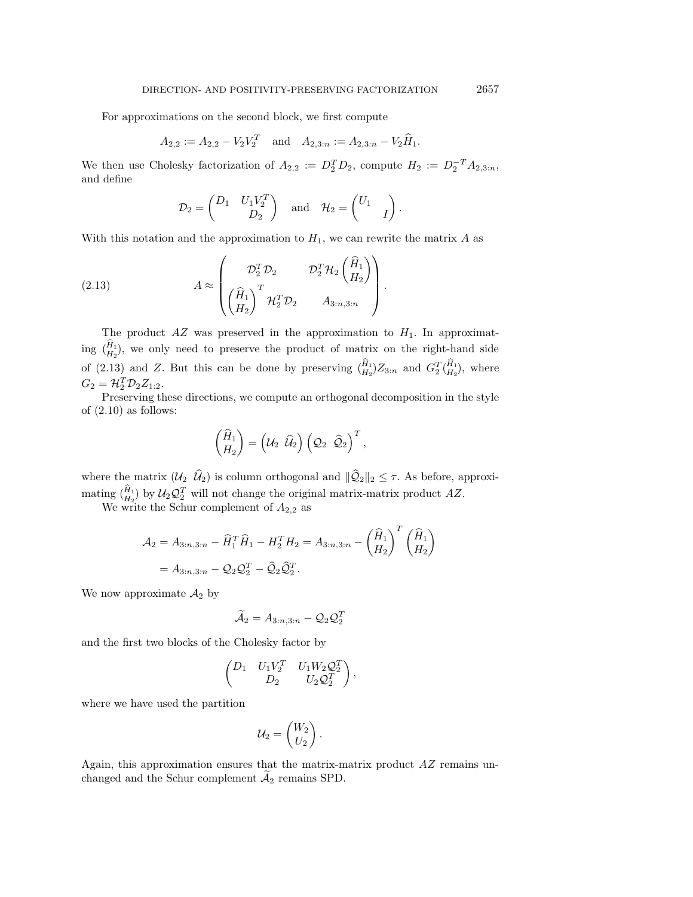For approximations on the second block, we first compute

$$
A_{2,2} := A_{2,2} - V_2 V_2^T
$$
 and  $A_{2,3:n} := A_{2,3:n} - V_2 \widehat{H}_1$ .

We then use Cholesky factorization of  $A_{2,2} := D_2^T D_2$ , compute  $H_2 := D_2^{-T} A_{2,3:n}$ , and define

$$
\mathcal{D}_2 = \begin{pmatrix} D_1 & U_1 V_2^T \\ & D_2 \end{pmatrix} \text{ and } \mathcal{H}_2 = \begin{pmatrix} U_1 & \\ & I \end{pmatrix}.
$$

With this notation and the approximation to  $H_1$ , we can rewrite the matrix A as

(2.13) 
$$
A \approx \begin{pmatrix} \mathcal{D}_2^T \mathcal{D}_2 & \mathcal{D}_2^T \mathcal{H}_2 \begin{pmatrix} \hat{H}_1 \\ H_2 \end{pmatrix} \\ \begin{pmatrix} \hat{H}_1 \\ H_2 \end{pmatrix}^T \mathcal{H}_2^T \mathcal{D}_2 & A_{3:n,3:n} \end{pmatrix}.
$$

The product  $AZ$  was preserved in the approximation to  $H_1$ . In approximat-The product AZ was preserved in the approximation to  $H_1$ . In approximating  $(\hat{H}_1)$ , we only need to preserve the product of matrix on the right-hand side The product  $AZ$  was preserved in the approximation to  $H_1$ . In approximating  $(\hat{H}_1)$ , we only need to preserve the product of matrix on the right-hand side of (2.13) and Z. But this can be done by preserving  $(\hat{H}_1)Z_{$ PI<br>-]<br>*A*  $G_2 = H_2^T \mathcal{D}_2 Z_{1:2}.$ 

Preserving these directions, we compute an orthogonal decomposition in the style of  $(2.10)$  as follows:

$$
\begin{pmatrix} \widehat{H}_1 \\ H_2 \end{pmatrix} = \left( \mathcal{U}_2 \ \widehat{\mathcal{U}}_2 \right) \left( \mathcal{Q}_2 \ \widehat{\mathcal{Q}}_2 \right)^T,
$$

where the matrix  $(\mathcal{U}_2 \ \hat{\mathcal{U}}_2)$  is column orthogonal and  $\|\widehat{\mathcal{Q}}_2\|_2 \leq \tau$ . As before, approxiwhere the mating  $\begin{pmatrix} \hat{H} & \hat{H} \\ H & H\end{pmatrix}$  $\widehat{H}_{12}$ ) by  $\mathcal{U}_2 \mathcal{Q}_2^T$  will not change the original matrix-matrix product AZ.

We write the Schur complement of  $A_{2,2}$  as

$$
\mathcal{A}_2 = A_{3:n,3:n} - \widehat{H}_1^T \widehat{H}_1 - H_2^T H_2 = A_{3:n,3:n} - \left(\frac{\widehat{H}_1}{H_2}\right)^T \left(\frac{\widehat{H}_1}{H_2}\right)
$$
  
=  $A_{3:n,3:n} - Q_2 Q_2^T - \widehat{Q}_2 \widehat{Q}_2^T$ .

We now approximate  $A_2$  by

$$
\widetilde{\mathcal{A}}_2 = A_{3:n,3:n} - \mathcal{Q}_2 \mathcal{Q}_2^T
$$

and the first two blocks of the Cholesky factor by

$$
\begin{pmatrix} D_1 & U_1V_2^T & U_1W_2Q_2^T \ D_2 & U_2Q_2^T \end{pmatrix},
$$

where we have used the partition

$$
\mathcal{U}_2 = \begin{pmatrix} W_2 \\ U_2 \end{pmatrix}.
$$

Again, this approximation ensures that the matrix-matrix product AZ remains unchanged and the Schur complement  $A_2$  remains SPD.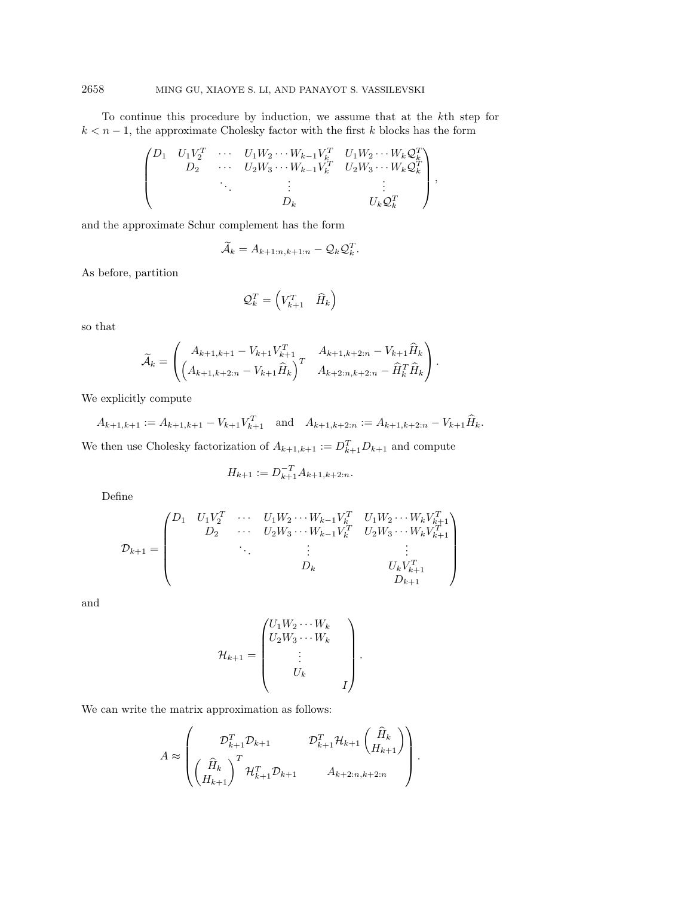To continue this procedure by induction, we assume that at the kth step for  $k < n - 1$ , the approximate Cholesky factor with the first k blocks has the form

$$
\begin{pmatrix}\nD_1 & U_1 V_2^T & \cdots & U_1 W_2 \cdots W_{k-1} V_k^T & U_1 W_2 \cdots W_k Q_k^T \\
D_2 & \cdots & U_2 W_3 \cdots W_{k-1} V_k^T & U_2 W_3 \cdots W_k Q_k^T \\
& \vdots & \vdots & \vdots \\
D_k & & U_k Q_k^T\n\end{pmatrix},
$$

and the approximate Schur complement has the form

$$
\widetilde{\mathcal{A}}_k = A_{k+1:n,k+1:n} - \mathcal{Q}_k \mathcal{Q}_k^T.
$$

As before, partition

$$
\mathcal{Q}_k^T = \begin{pmatrix} V_{k+1}^T & \widehat{H}_k \end{pmatrix}
$$

so that

$$
\widetilde{\mathcal{A}}_k = \begin{pmatrix} A_{k+1,k+1} - V_{k+1} V_{k+1}^T & A_{k+1,k+2:n} - V_{k+1} \widehat{H}_k \\ \left( A_{k+1,k+2:n} - V_{k+1} \widehat{H}_k \right)^T & A_{k+2:n,k+2:n} - \widehat{H}_k^T \widehat{H}_k \end{pmatrix}.
$$

We explicitly compute

 $A_{k+1,k+1} := A_{k+1,k+1} - V_{k+1}V_{k+1}^T$  and  $A_{k+1,k+2:n} := A_{k+1,k+2:n} - V_{k+1}\hat{H}_k$ .

We then use Cholesky factorization of  $A_{k+1,k+1} := D_{k+1}^T D_{k+1}$  and compute

$$
H_{k+1} := D_{k+1}^{-T} A_{k+1,k+2:n}.
$$

Define

$$
\mathcal{D}_{k+1} = \begin{pmatrix} D_1 & U_1 V_2^T & \cdots & U_1 W_2 \cdots W_{k-1} V_k^T & U_1 W_2 \cdots W_k V_{k+1}^T \\ D_2 & \cdots & U_2 W_3 \cdots W_{k-1} V_k^T & U_2 W_3 \cdots W_k V_{k+1}^T \\ & \ddots & \vdots & \vdots \\ & & D_k & U_k V_{k+1}^T \\ & & & D_{k+1} \end{pmatrix}
$$

and

$$
\mathcal{H}_{k+1} = \begin{pmatrix} U_1 W_2 \cdots W_k \\ U_2 W_3 \cdots W_k \\ \vdots \\ U_k \\ I \end{pmatrix}.
$$

We can write the matrix approximation as follows:

$$
A \approx \begin{pmatrix} \mathcal{D}_{k+1}^T \mathcal{D}_{k+1} & \mathcal{D}_{k+1}^T \mathcal{H}_{k+1} \binom{\widehat{H}_k}{H_{k+1}} \\ \left(\frac{\widehat{H}_k}{H_{k+1}}\right)^T \mathcal{H}_{k+1}^T \mathcal{D}_{k+1} & A_{k+2:n,k+2:n} \end{pmatrix}.
$$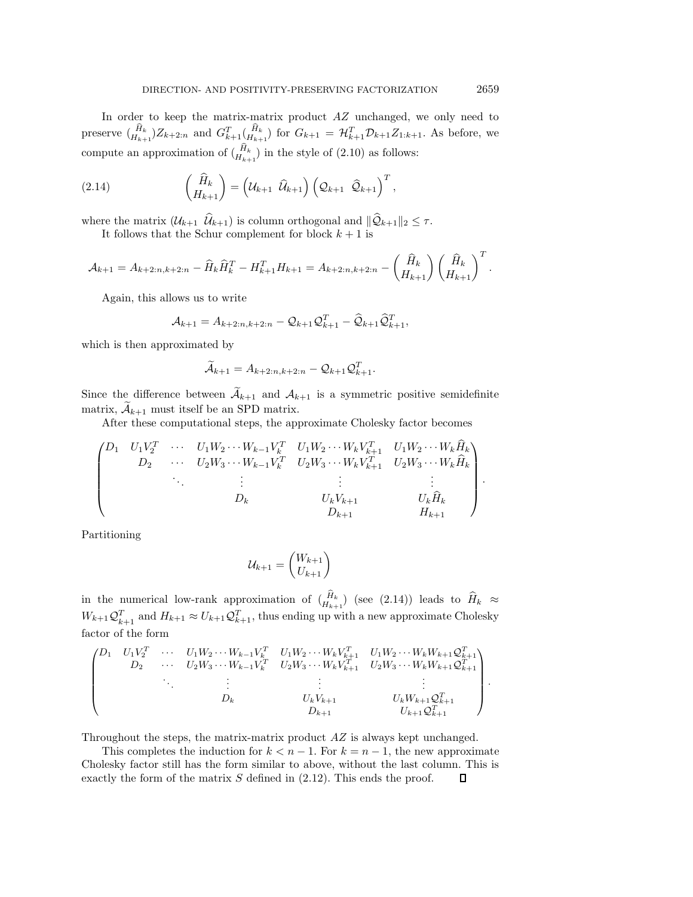In order to keep the matrix-matrix product AZ unchanged, we only need to In order to keep the matrix-matrix product  $AZ$  unchanged, we only need to preserve  $\binom{\hat{H}_k}{H_{k+1}}Z_{k+2:n}$  and  $G_{k+1}^T(\frac{\hat{H}_k}{H_{k+1}})$  for  $G_{k+1} = \mathcal{H}_{k+1}^T \mathcal{D}_{k+1} Z_{1:k+1}$ . As before, we compute an approximatio

(2.14) 
$$
\begin{pmatrix} \widehat{H}_k \\ H_{k+1} \end{pmatrix} = \left( \mathcal{U}_{k+1} \ \widehat{\mathcal{U}}_{k+1} \right) \left( \mathcal{Q}_{k+1} \ \widehat{\mathcal{Q}}_{k+1} \right)^T.
$$

where the matrix  $(\mathcal{U}_{k+1} \ \hat{\mathcal{U}}_{k+1})$  is column orthogonal and  $\|\hat{\mathcal{Q}}_{k+1}\|_2 \leq \tau$ .

It follows that the Schur complement for block  $k + 1$  is

$$
\mathcal{A}_{k+1} = A_{k+2:n,k+2:n} - \widehat{H}_k \widehat{H}_k^T - H_{k+1}^T H_{k+1} = A_{k+2:n,k+2:n} - \left(\begin{matrix} \widehat{H}_k \\ H_{k+1} \end{matrix}\right) \left(\begin{matrix} \widehat{H}_k \\ H_{k+1} \end{matrix}\right)^T.
$$

Again, this allows us to write

$$
\mathcal{A}_{k+1} = A_{k+2:n,k+2:n} - \mathcal{Q}_{k+1}\mathcal{Q}_{k+1}^T - \widehat{\mathcal{Q}}_{k+1}\widehat{\mathcal{Q}}_{k+1}^T,
$$

which is then approximated by

$$
\widetilde{\mathcal{A}}_{k+1} = A_{k+2:n,k+2:n} - \mathcal{Q}_{k+1}\mathcal{Q}_{k+1}^T.
$$

Since the difference between  $\widetilde{\mathcal{A}}_{k+1}$  and  $\mathcal{A}_{k+1}$  is a symmetric positive semidefinite matrix,  $A_{k+1}$  must itself be an SPD matrix.

After these computational steps, the approximate Cholesky factor becomes

$$
\begin{pmatrix}\nD_1 & U_1V_2^T & \cdots & U_1W_2\cdots W_{k-1}V_k^T & U_1W_2\cdots W_kV_{k+1}^T & U_1W_2\cdots W_k\hat{H}_k \\
D_2 & \cdots & U_2W_3\cdots W_{k-1}V_k^T & U_2W_3\cdots W_kV_{k+1}^T & U_2W_3\cdots W_k\hat{H}_k \\
\vdots & \vdots & \vdots & \vdots \\
D_k & U_kV_{k+1} & U_k\hat{H}_k \\
D_{k+1} & H_{k+1}\n\end{pmatrix}.
$$

Partitioning

$$
\mathcal{U}_{k+1} = \begin{pmatrix} W_{k+1} \\ U_{k+1} \end{pmatrix}
$$

 $u_{k+1} = \begin{pmatrix} u_{k+1} \end{pmatrix}$ <br>in the numerical low-rank approximation of  $(\hat{H}_{k+1})$  (see (2.14)) leads to  $\hat{H}_k \approx$  $W_{k+1}\mathcal{Q}_{k+1}^T$  and  $H_{k+1} \approx U_{k+1}\mathcal{Q}_{k+1}^T$ , thus ending up with a new approximate Cholesky factor of the form

$$
\begin{pmatrix}\nD_1 & U_1 V_2^T & \cdots & U_1 W_2 \cdots W_{k-1} V_k^T & U_1 W_2 \cdots W_k V_{k+1}^T & U_1 W_2 \cdots W_k W_{k+1} Q_{k+1}^T \\
D_2 & \cdots & U_2 W_3 \cdots W_{k-1} V_k^T & U_2 W_3 \cdots W_k V_{k+1}^T & U_2 W_3 \cdots W_k W_{k+1} Q_{k+1}^T \\
\vdots & \vdots & \vdots & \vdots \\
D_k & U_k V_{k+1} & U_k W_{k+1} Q_{k+1}^T \\
D_{k+1} & U_{k+1} Q_{k+1}^T\n\end{pmatrix}
$$

Throughout the steps, the matrix-matrix product  $AZ$  is always kept unchanged.

This completes the induction for  $k < n - 1$ . For  $k = n - 1$ , the new approximate Cholesky factor still has the form similar to above, without the last column. This is exactly the form of the matrix  $S$  defined in  $(2.12)$ . This ends the proof. П

*.*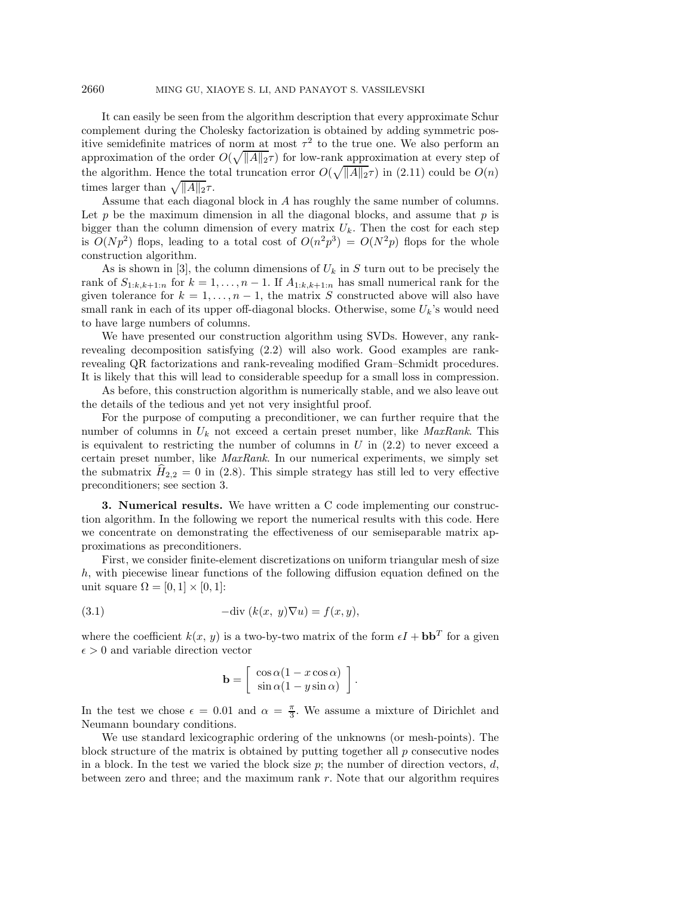It can easily be seen from the algorithm description that every approximate Schur complement during the Cholesky factorization is obtained by adding symmetric positive semidefinite matrices of norm at most  $\tau^2$  to the true one. We also perform an approximation of the order  $O(\sqrt{\|A\|_2}\tau)$  for low-rank approximation at every step of the algorithm. Hence the total truncation error  $O(\sqrt{\|A\|_2}\tau)$  in (2.11) could be  $O(n)$ times larger than  $\sqrt{\|A\|_2\tau}$ .

Assume that each diagonal block in A has roughly the same number of columns. Let p be the maximum dimension in all the diagonal blocks, and assume that  $p$  is bigger than the column dimension of every matrix  $U_k$ . Then the cost for each step is  $O(Np^2)$  flops, leading to a total cost of  $O(n^2p^3) = O(N^2p)$  flops for the whole construction algorithm.

As is shown in [3], the column dimensions of  $U_k$  in S turn out to be precisely the rank of  $S_{1:k,k+1:n}$  for  $k = 1, ..., n-1$ . If  $A_{1:k,k+1:n}$  has small numerical rank for the given tolerance for  $k = 1, ..., n - 1$ , the matrix S constructed above will also have small rank in each of its upper off-diagonal blocks. Otherwise, some  $U_k$ 's would need to have large numbers of columns.

We have presented our construction algorithm using SVDs. However, any rankrevealing decomposition satisfying (2.2) will also work. Good examples are rankrevealing QR factorizations and rank-revealing modified Gram–Schmidt procedures. It is likely that this will lead to considerable speedup for a small loss in compression.

As before, this construction algorithm is numerically stable, and we also leave out the details of the tedious and yet not very insightful proof.

For the purpose of computing a preconditioner, we can further require that the number of columns in  $U_k$  not exceed a certain preset number, like *MaxRank*. This is equivalent to restricting the number of columns in  $U$  in  $(2.2)$  to never exceed a certain preset number, like *MaxRank*. In our numerical experiments, we simply set the submatrix  $H_{2,2} = 0$  in (2.8). This simple strategy has still led to very effective preconditioners; see section 3.

**3. Numerical results.** We have written a C code implementing our construction algorithm. In the following we report the numerical results with this code. Here we concentrate on demonstrating the effectiveness of our semiseparable matrix approximations as preconditioners.

First, we consider finite-element discretizations on uniform triangular mesh of size h, with piecewise linear functions of the following diffusion equation defined on the unit square  $\Omega = [0, 1] \times [0, 1]$ :

(3.1) 
$$
-\text{div}(k(x, y)\nabla u) = f(x, y),
$$

where the coefficient  $k(x, y)$  is a two-by-two matrix of the form  $\epsilon I + \mathbf{b} \mathbf{b}^T$  for a given  $\epsilon > 0$  and variable direction vector

$$
\mathbf{b} = \left[ \begin{array}{c} \cos \alpha (1 - x \cos \alpha) \\ \sin \alpha (1 - y \sin \alpha) \end{array} \right].
$$

In the test we chose  $\epsilon = 0.01$  and  $\alpha = \frac{\pi}{3}$ . We assume a mixture of Dirichlet and Neumann boundary conditions.

We use standard lexicographic ordering of the unknowns (or mesh-points). The block structure of the matrix is obtained by putting together all  $p$  consecutive nodes in a block. In the test we varied the block size  $p$ ; the number of direction vectors,  $d$ , between zero and three; and the maximum rank  $r$ . Note that our algorithm requires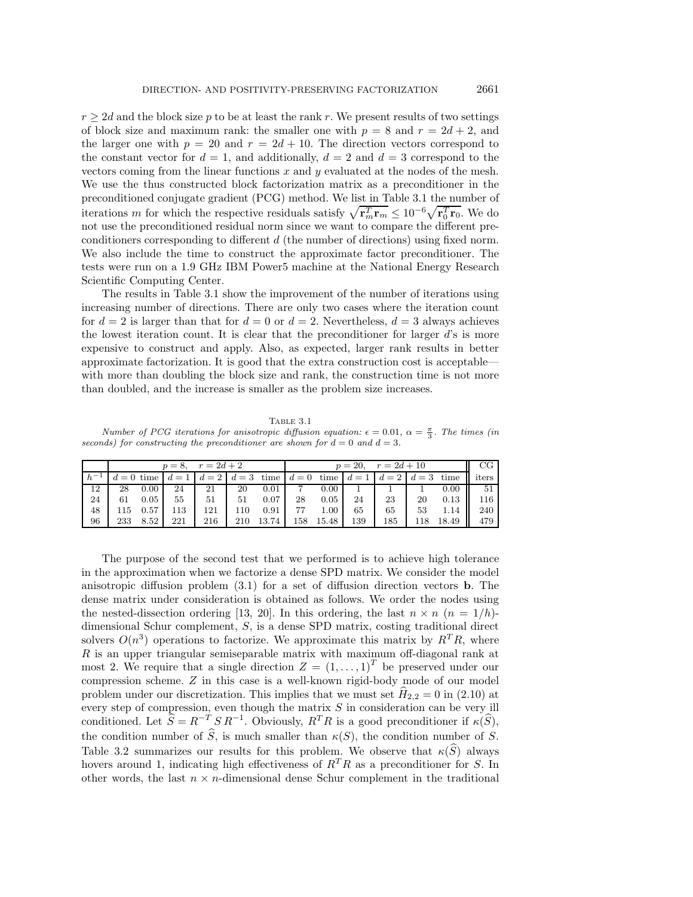$r \geq 2d$  and the block size p to be at least the rank r. We present results of two settings of block size and maximum rank: the smaller one with  $p = 8$  and  $r = 2d + 2$ , and the larger one with  $p = 20$  and  $r = 2d + 10$ . The direction vectors correspond to the constant vector for  $d = 1$ , and additionally,  $d = 2$  and  $d = 3$  correspond to the vectors coming from the linear functions  $x$  and  $y$  evaluated at the nodes of the mesh. We use the thus constructed block factorization matrix as a preconditioner in the preconditioned conjugate gradient (PCG) method. We list in Table 3.1 the number of iterations m for which the respective residuals satisfy  $\sqrt{\mathbf{r}_m^T \mathbf{r}_m} \leq 10^{-6} \sqrt{\mathbf{r}_0^T \mathbf{r}_0}$ . We do not use the preconditioned residual norm since we want to compare the different preconditioners corresponding to different d (the number of directions) using fixed norm. We also include the time to construct the approximate factor preconditioner. The tests were run on a 1.9 GHz IBM Power5 machine at the National Energy Research Scientific Computing Center.

The results in Table 3.1 show the improvement of the number of iterations using increasing number of directions. There are only two cases where the iteration count for  $d = 2$  is larger than that for  $d = 0$  or  $d = 2$ . Nevertheless,  $d = 3$  always achieves the lowest iteration count. It is clear that the preconditioner for larger  $d$ 's is more expensive to construct and apply. Also, as expected, larger rank results in better approximate factorization. It is good that the extra construction cost is acceptable with more than doubling the block size and rank, the construction time is not more than doubled, and the increase is smaller as the problem size increases.

Table 3.1 Number of PCG iterations for anisotropic diffusion equation:  $\epsilon = 0.01$ ,  $\alpha = \frac{\pi}{3}$ . The times (in seconds) for constructing the preconditioner are shown for  $d = 0$  and  $d = 3$ .

|    |     |                | $p = 8, r = 2d + 2$                                                                         |     |     |       | $p = 20, r = 2d + 10$ |       |     |     |     |       | CG    |
|----|-----|----------------|---------------------------------------------------------------------------------------------|-----|-----|-------|-----------------------|-------|-----|-----|-----|-------|-------|
|    |     |                | $d = 0$ time $ d = 1 $ $d = 2 $ $d = 3$ time $ d = 0 $ time $ d = 1 $ $d = 2 $ $d = 3$ time |     |     |       |                       |       |     |     |     |       | iters |
| 12 | 28  | $0.00^{\circ}$ | 24                                                                                          | 21  | 20  | 0.01  |                       | 0.00  |     |     |     | 0.00  | -51   |
| 24 | 61  | 0.05           | 55                                                                                          | 51  | 51  | 0.07  | 28                    | 0.05  | 24  | 23  | 20  | 0.13  | 116   |
| 48 | 115 | 0.57           | 113                                                                                         | 121 | 110 | 0.91  | 77                    | 1.00  | 65  | 65  | 53  | 1.14  | 240   |
| 96 | 233 | 8.52           | 221                                                                                         | 216 | 210 | 13.74 | 158                   | 15.48 | 139 | 185 | 118 | 18.49 | 479   |

The purpose of the second test that we performed is to achieve high tolerance in the approximation when we factorize a dense SPD matrix. We consider the model anisotropic diffusion problem (3.1) for a set of diffusion direction vectors **b**. The dense matrix under consideration is obtained as follows. We order the nodes using the nested-dissection ordering [13, 20]. In this ordering, the last  $n \times n$   $(n = 1/h)$ dimensional Schur complement, S, is a dense SPD matrix, costing traditional direct solvers  $O(n^3)$  operations to factorize. We approximate this matrix by  $R^T R$ , where  $R$  is an upper triangular semiseparable matrix with maximum off-diagonal rank at most 2. We require that a single direction  $Z = (1, \ldots, 1)^T$  be preserved under our compression scheme. Z in this case is a well-known rigid-body mode of our model problem under our discretization. This implies that we must set  $\hat{H}_{2,2} = 0$  in (2.10) at every step of compression, even though the matrix  $S$  in consideration can be very ill conditioned. Let  $\widehat{S} = R^{-T} S R^{-1}$ . Obviously,  $R^T R$  is a good preconditioner if  $\kappa(\widehat{S})$ , the condition number of  $\widehat{S}$ , is much smaller than  $\kappa(S)$ , the condition number of S. Table 3.2 summarizes our results for this problem. We observe that  $\kappa(\hat{S})$  always hovers around 1, indicating high effectiveness of  $R^{T}R$  as a preconditioner for S. In other words, the last  $n \times n$ -dimensional dense Schur complement in the traditional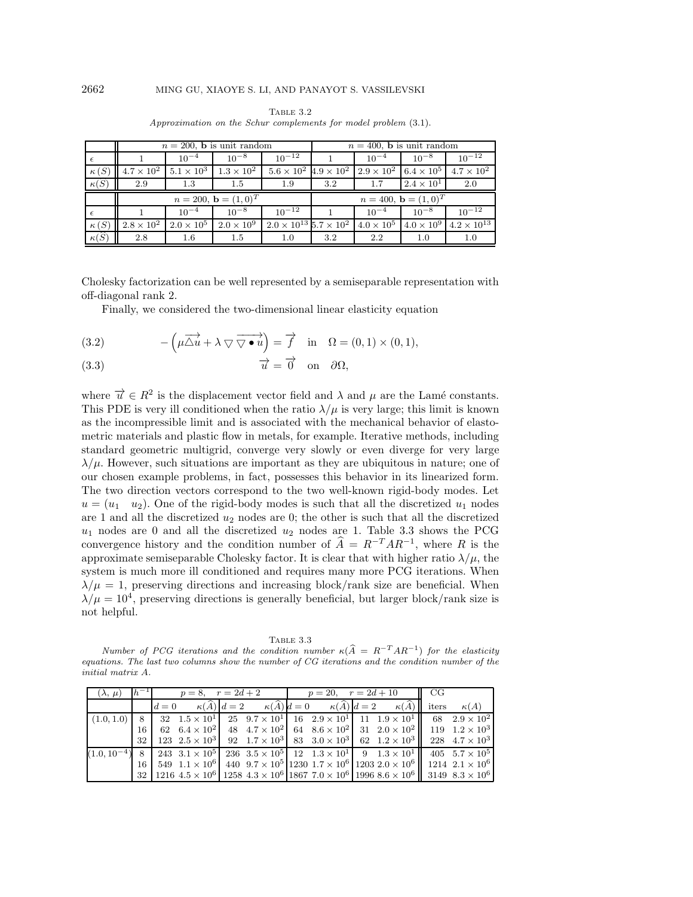|                                      |                                      |                   | $n = 200$ , <b>b</b> is unit random | $n = 400$ , <b>b</b> is unit random      |     |                                                                         |                                  |                      |
|--------------------------------------|--------------------------------------|-------------------|-------------------------------------|------------------------------------------|-----|-------------------------------------------------------------------------|----------------------------------|----------------------|
| $\epsilon$                           | $10^{-12}$<br>$10^{-4}$<br>$10^{-8}$ |                   |                                     |                                          |     | $10^{-4}$                                                               | $10^{-8}$                        | $10^{-12}$           |
| $\kappa(S)$                          | $4.7 \times 10^2$                    | $5.1 \times 10^3$ | $1.3 \times 10^2$                   |                                          |     | $5.6 \times 10^2$ $4.9 \times 10^2$ $2.9 \times 10^2$ $6.4 \times 10^5$ |                                  | $4.7 \times 10^2$    |
| $\kappa(\widehat{S})$                | 2.9                                  | 1.3               | $1.5\,$                             | 1.9                                      | 3.2 | 1.7                                                                     | $2.4 \times 10^{1}$              | 2.0                  |
|                                      |                                      |                   |                                     |                                          |     |                                                                         |                                  |                      |
|                                      |                                      |                   | $n = 200, \mathbf{b} = (1,0)^T$     |                                          |     |                                                                         | $n = 400, \mathbf{b} = (1, 0)^T$ |                      |
| $\epsilon$                           |                                      | $10^{-4}$         | $10^{-8}$                           | $10^{-12}$                               |     | $10^{-4}$                                                               | $10^{-8}$                        | $10^{-12}$           |
| $\kappa(S)$<br>$\kappa(\widehat{S})$ | $2.8 \times 10^2$                    | $2.0 \times 10^5$ | $2.0 \times 10^9$                   | $2.0 \times 10^{13}$ $5.7 \times 10^{2}$ |     | $4.0 \times 10^5$                                                       | $4.0 \times 10^{9}$              | $4.2 \times 10^{13}$ |

Table 3.2 Approximation on the Schur complements for model problem (3.1).

Cholesky factorization can be well represented by a semiseparable representation with off-diagonal rank 2.

Finally, we considered the two-dimensional linear elasticity equation

(3.2) 
$$
-\left(\mu \overrightarrow{\Delta u} + \lambda \nabla \overrightarrow{\nabla \cdot u}\right) = \overrightarrow{f} \text{ in } \Omega = (0,1) \times (0,1),
$$

(3.3) 
$$
\overrightarrow{u} = \overrightarrow{0} \text{ on } \partial\Omega,
$$

where  $\vec{u} \in R^2$  is the displacement vector field and  $\lambda$  and  $\mu$  are the Lamé constants. This PDE is very ill conditioned when the ratio  $\lambda/\mu$  is very large; this limit is known as the incompressible limit and is associated with the mechanical behavior of elastometric materials and plastic flow in metals, for example. Iterative methods, including standard geometric multigrid, converge very slowly or even diverge for very large  $\lambda/\mu$ . However, such situations are important as they are ubiquitous in nature; one of our chosen example problems, in fact, possesses this behavior in its linearized form. The two direction vectors correspond to the two well-known rigid-body modes. Let  $u = (u_1 \quad u_2)$ . One of the rigid-body modes is such that all the discretized  $u_1$  nodes are 1 and all the discretized  $u_2$  nodes are 0; the other is such that all the discretized  $u_1$  nodes are 0 and all the discretized  $u_2$  nodes are 1. Table 3.3 shows the PCG convergence history and the condition number of  $A = R^{-T}AR^{-1}$ , where R is the approximate semiseparable Cholesky factor. It is clear that with higher ratio  $\lambda/\mu$ , the system is much more ill conditioned and requires many more PCG iterations. When  $\lambda/\mu = 1$ , preserving directions and increasing block/rank size are beneficial. When  $\lambda/\mu = 10^4$ , preserving directions is generally beneficial, but larger block/rank size is not helpful.

| RТ<br>г. |  |
|----------|--|
|          |  |

TABLE 3.3<br>Number of PCG iterations and the condition number  $\kappa(\widehat{A} = R^{-T} A R^{-1})$  for the elasticity equations. The last two columns show the number of CG iterations and the condition number of the initial matrix A.

| nıtıal matrıx A. |       |       |                             |                                           |  |  |                                                              |                                                                                                                    |       |             |
|------------------|-------|-------|-----------------------------|-------------------------------------------|--|--|--------------------------------------------------------------|--------------------------------------------------------------------------------------------------------------------|-------|-------------|
| $(\lambda, \mu)$ | $h^-$ |       |                             | $p = 8, r = 2d + 2$ $p = 20, r = 2d + 10$ |  |  |                                                              | CG                                                                                                                 |       |             |
|                  |       | $d=0$ | $\kappa(\widehat{A}) d = 2$ |                                           |  |  | $\kappa(\widehat{A}) d = 0 \qquad \kappa(\widehat{A}) d = 2$ | $\kappa(\widehat{A})$                                                                                              | iters | $\kappa(A)$ |
| (1.0, 1.0)       | 8     |       |                             |                                           |  |  |                                                              | 32 $1.5 \times 10^1$   25 $9.7 \times 10^1$   16 $2.9 \times 10^1$   11 $1.9 \times 10^1$   68 $2.9 \times 10^2$   |       |             |
|                  | 16    |       |                             |                                           |  |  |                                                              | 62 $6.4 \times 10^2$ 48 $4.7 \times 10^2$ 64 $8.6 \times 10^2$ 31 $2.0 \times 10^2$ 119 $1.2 \times 10^3$          |       |             |
|                  | 32    |       |                             |                                           |  |  |                                                              | 123 $2.5 \times 10^3$ 92 $1.7 \times 10^3$ 83 $3.0 \times 10^3$ 62 $1.2 \times 10^3$ 228 $4.7 \times 10^3$         |       |             |
| $(1.0, 10^{-})$  | 8     |       |                             |                                           |  |  |                                                              | 243 $3.1 \times 10^5$ 236 $3.5 \times 10^5$ 12 $1.3 \times 10^1$ 9 $1.3 \times 10^1$ 405 $5.7 \times 10^5$         |       |             |
|                  | 16    |       |                             |                                           |  |  |                                                              | 549 $1.1 \times 10^6$ 440 $9.7 \times 10^5$ 1230 $1.7 \times 10^6$ 1203 $2.0 \times 10^6$ 1214 $2.1 \times 10^6$   |       |             |
|                  | 32    |       |                             |                                           |  |  |                                                              | 1216 $4.5 \times 10^6$ 1258 $4.3 \times 10^6$ 1867 $7.0 \times 10^6$ 1996 $8.6 \times 10^6$ 3149 $8.3 \times 10^6$ |       |             |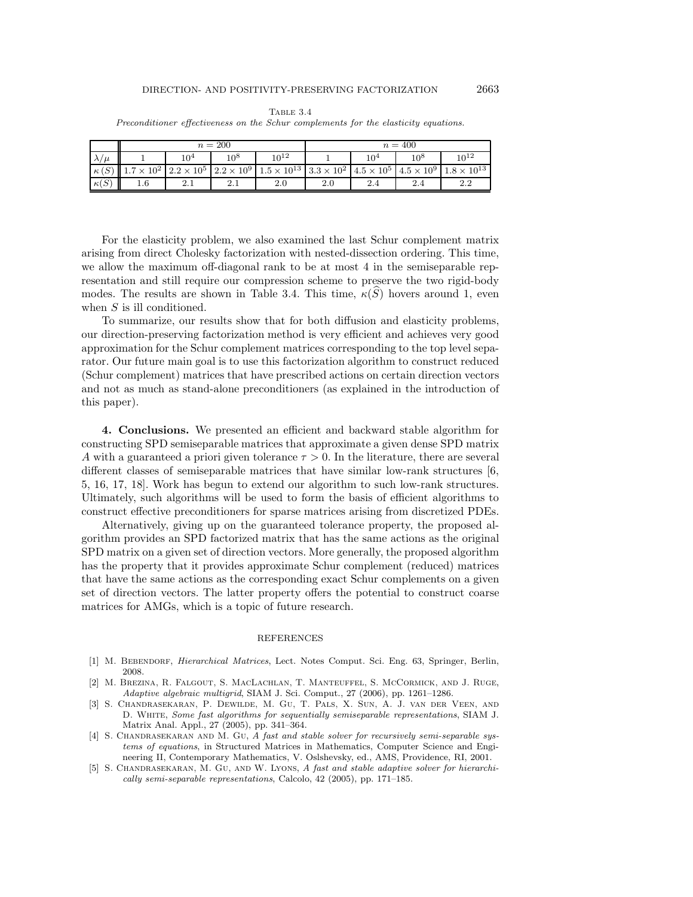|                       |         |          | $n=200$ |                                                                                                                                                             | $n = 400$ |  |        |                                        |  |
|-----------------------|---------|----------|---------|-------------------------------------------------------------------------------------------------------------------------------------------------------------|-----------|--|--------|----------------------------------------|--|
| $\lambda/\mu$         |         | $10^4\,$ | $10^8$  | $10^{12}$                                                                                                                                                   | $10^4\,$  |  | $10^8$ | $10^{12}$                              |  |
| $\kappa(S)$           |         |          |         | $1.7 \times 10^2$ $\left[ 2.2 \times 10^5 \right]$ $2.2 \times 10^9$ $\left[ 1.5 \times 10^{13} \right]$ $3.3 \times 10^2$ $\left[ 4.5 \times 10^5 \right]$ |           |  |        | $4.5 \times 10^9$ $1.8 \times 10^{13}$ |  |
| $\kappa(\widehat{S})$ | $1.6\,$ | 2.1      | 2.1     | 2.0                                                                                                                                                         | 2.0       |  |        | 2.2                                    |  |

Table 3.4 Preconditioner effectiveness on the Schur complements for the elasticity equations.

For the elasticity problem, we also examined the last Schur complement matrix arising from direct Cholesky factorization with nested-dissection ordering. This time, we allow the maximum off-diagonal rank to be at most 4 in the semiseparable representation and still require our compression scheme to preserve the two rigid-body modes. The results are shown in Table 3.4. This time,  $\kappa(\widehat{S})$  hovers around 1, even when S is ill conditioned.

To summarize, our results show that for both diffusion and elasticity problems, our direction-preserving factorization method is very efficient and achieves very good approximation for the Schur complement matrices corresponding to the top level separator. Our future main goal is to use this factorization algorithm to construct reduced (Schur complement) matrices that have prescribed actions on certain direction vectors and not as much as stand-alone preconditioners (as explained in the introduction of this paper).

**4. Conclusions.** We presented an efficient and backward stable algorithm for constructing SPD semiseparable matrices that approximate a given dense SPD matrix A with a guaranteed a priori given tolerance  $\tau > 0$ . In the literature, there are several different classes of semiseparable matrices that have similar low-rank structures [6, 5, 16, 17, 18]. Work has begun to extend our algorithm to such low-rank structures. Ultimately, such algorithms will be used to form the basis of efficient algorithms to construct effective preconditioners for sparse matrices arising from discretized PDEs.

Alternatively, giving up on the guaranteed tolerance property, the proposed algorithm provides an SPD factorized matrix that has the same actions as the original SPD matrix on a given set of direction vectors. More generally, the proposed algorithm has the property that it provides approximate Schur complement (reduced) matrices that have the same actions as the corresponding exact Schur complements on a given set of direction vectors. The latter property offers the potential to construct coarse matrices for AMGs, which is a topic of future research.

### REFERENCES

- [1] M. BEBENDORF, *Hierarchical Matrices*, Lect. Notes Comput. Sci. Eng. 63, Springer, Berlin, 2008.
- [2] M. Brezina, R. Falgout, S. MacLachlan, T. Manteuffel, S. McCormick, and J. Ruge, Adaptive algebraic multigrid, SIAM J. Sci. Comput., 27 (2006), pp. 1261–1286.
- [3] S. Chandrasekaran, P. Dewilde, M. Gu, T. Pals, X. Sun, A. J. van der Veen, and D. White, Some fast algorithms for sequentially semiseparable representations, SIAM J. Matrix Anal. Appl., 27 (2005), pp. 341–364.
- [4] S. CHANDRASEKARAN AND M. GU, A fast and stable solver for recursively semi-separable systems of equations, in Structured Matrices in Mathematics, Computer Science and Engineering II, Contemporary Mathematics, V. Oslshevsky, ed., AMS, Providence, RI, 2001.
- [5] S. CHANDRASEKARAN, M. GU, AND W. LYONS, A fast and stable adaptive solver for hierarchically semi-separable representations, Calcolo, 42 (2005), pp. 171–185.